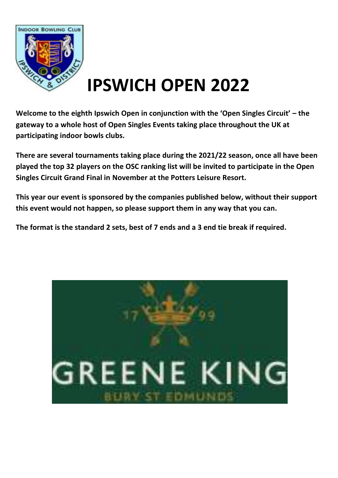

## **IPSWICH OPEN 2022**

**Welcome to the eighth Ipswich Open in conjunction with the 'Open Singles Circuit' – the gateway to a whole host of Open Singles Events taking place throughout the UK at participating indoor bowls clubs.** 

**There are several tournaments taking place during the 2021/22 season, once all have been played the top 32 players on the OSC ranking list will be invited to participate in the Open Singles Circuit Grand Final in November at the Potters Leisure Resort.** 

**This year our event is sponsored by the companies published below, without their support this event would not happen, so please support them in any way that you can.** 

**The format is the standard 2 sets, best of 7 ends and a 3 end tie break if required.** 

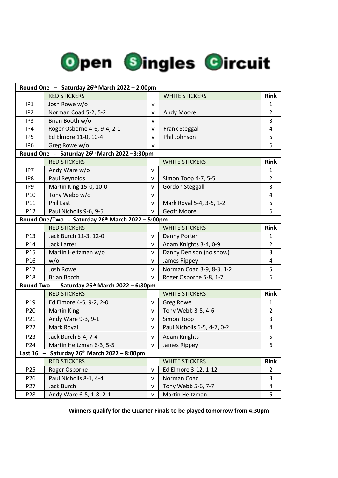## Open Singles Gircuit

|                  | Round One - Saturday 26th March 2022 - 2.00pm     |              |                             |                |  |
|------------------|---------------------------------------------------|--------------|-----------------------------|----------------|--|
|                  | <b>RED STICKERS</b>                               |              | <b>WHITE STICKERS</b>       | Rink           |  |
| IP1              | Josh Rowe w/o                                     | $\mathsf{v}$ |                             | 1              |  |
| IP <sub>2</sub>  | Norman Coad 5-2, 5-2                              | $\mathsf{v}$ | Andy Moore                  | $\overline{2}$ |  |
| IP3              | Brian Booth w/o                                   |              |                             | 3              |  |
| IP4              | Roger Osborne 4-6, 9-4, 2-1                       | v            | <b>Frank Steggall</b>       | 4              |  |
| IP <sub>5</sub>  | Ed Elmore 11-0, 10-4                              | $\mathsf{v}$ | Phil Johnson                | 5              |  |
| IP <sub>6</sub>  | Greg Rowe w/o<br>$\mathsf{v}$                     |              |                             | 6              |  |
|                  | Round One - Saturday 26th March 2022 -3:30pm      |              |                             |                |  |
|                  | <b>RED STICKERS</b>                               |              | <b>WHITE STICKERS</b>       | Rink           |  |
| IP7              | Andy Ware w/o                                     | v            |                             | 1              |  |
| IP8              | Paul Reynolds                                     | v            | Simon Toop 4-7, 5-5         | 2              |  |
| IP9              | Martin King 15-0, 10-0                            | v            | <b>Gordon Steggall</b>      | 3              |  |
| <b>IP10</b>      | Tony Webb w/o                                     | v            |                             | 4              |  |
| <b>IP11</b>      | Phil Last                                         | v            | Mark Royal 5-4, 3-5, 1-2    | 5              |  |
| <b>IP12</b>      | Paul Nicholls 9-6, 9-5                            | v            | Geoff Moore                 | 6              |  |
|                  | Round One/Two - Saturday 26th March 2022 - 5:00pm |              |                             |                |  |
|                  | <b>RED STICKERS</b>                               |              | <b>WHITE STICKERS</b>       | Rink           |  |
| <b>IP13</b>      | Jack Burch 11-3, 12-0                             | $\mathsf{v}$ | Danny Porter                | 1              |  |
| <b>IP14</b>      | Jack Larter                                       | v            | Adam Knights 3-4, 0-9       | 2              |  |
| <b>IP15</b>      | Martin Heitzman w/o                               | v            | Danny Denison (no show)     | 3              |  |
| <b>IP16</b>      | w/o                                               | v            | James Rippey                | $\overline{4}$ |  |
| <b>IP17</b>      | Josh Rowe                                         | v            | Norman Coad 3-9, 8-3, 1-2   | 5              |  |
| <b>IP18</b>      | <b>Brian Booth</b>                                |              | Roger Osborne 5-8, 1-7      | 6              |  |
|                  | Round Two - Saturday 26th March 2022 - 6:30pm     |              |                             |                |  |
|                  | <b>RED STICKERS</b>                               |              | <b>WHITE STICKERS</b>       | Rink           |  |
| <b>IP19</b>      | Ed Elmore 4-5, 9-2, 2-0                           | v            | <b>Greg Rowe</b>            | 1              |  |
| <b>IP20</b>      | <b>Martin King</b>                                | $\mathsf{v}$ | Tony Webb 3-5, 4-6          | $\overline{2}$ |  |
| <b>IP21</b>      | Andy Ware 9-3, 9-1                                | v            | Simon Toop                  | 3              |  |
| <b>IP22</b>      | Mark Royal                                        | v            | Paul Nicholls 6-5, 4-7, 0-2 | 4              |  |
| IP <sub>23</sub> | Jack Burch 5-4, 7-4                               | v            | <b>Adam Knights</b>         | 5              |  |
| <b>IP24</b>      | Martin Heitzman 6-3, 5-5                          | v            | James Rippey                | 6              |  |
| Last 16          | - Saturday $26^{th}$ March 2022 - 8:00pm          |              |                             |                |  |
|                  | <b>RED STICKERS</b>                               |              | <b>WHITE STICKERS</b>       | Rink           |  |
| <b>IP25</b>      | Roger Osborne                                     | v            | Ed Elmore 3-12, 1-12        | 2              |  |
| <b>IP26</b>      | Paul Nicholls 8-1, 4-4                            | v            | Norman Coad                 | 3              |  |
| <b>IP27</b>      | Jack Burch                                        | v            | Tony Webb 5-6, 7-7          | 4              |  |
| IP <sub>28</sub> | Andy Ware 6-5, 1-8, 2-1                           | v            | Martin Heitzman             | 5              |  |

**Winners qualify for the Quarter Finals to be played tomorrow from 4:30pm**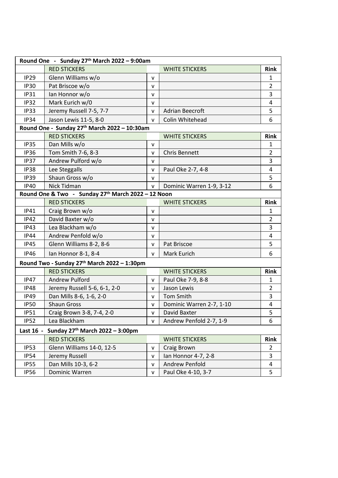| Round One - Sunday 27th March 2022 - 9:00am |                                                          |              |                          |                |
|---------------------------------------------|----------------------------------------------------------|--------------|--------------------------|----------------|
|                                             | <b>RED STICKERS</b>                                      |              | <b>WHITE STICKERS</b>    | Rink           |
| <b>IP29</b>                                 | Glenn Williams w/o                                       | $\mathsf{v}$ |                          | 1              |
| <b>IP30</b>                                 | Pat Briscoe w/o                                          | $\mathsf{v}$ |                          | $\overline{2}$ |
| <b>IP31</b>                                 | lan Honnor w/o                                           |              |                          | 3              |
| <b>IP32</b>                                 | Mark Eurich w/0<br>$\mathsf{v}$                          |              |                          | 4              |
| IP33                                        | Jeremy Russell 7-5, 7-7                                  | $\mathsf{v}$ | <b>Adrian Beecroft</b>   | 5              |
| <b>IP34</b>                                 | Jason Lewis 11-5, 8-0<br>$\mathbf{v}$<br>Colin Whitehead |              |                          | 6              |
|                                             | Round One - Sunday 27th March 2022 - 10:30am             |              |                          |                |
|                                             | <b>RED STICKERS</b>                                      |              | <b>WHITE STICKERS</b>    | <b>Rink</b>    |
| <b>IP35</b>                                 | Dan Mills w/o                                            | $\mathsf{v}$ |                          | 1              |
| <b>IP36</b>                                 | Tom Smith 7-6, 8-3                                       | $\mathsf{v}$ | Chris Bennett            | 2              |
| <b>IP37</b>                                 | Andrew Pulford w/o                                       | $\mathsf{v}$ |                          | 3              |
| <b>IP38</b>                                 | Lee Steggalls                                            | $\mathsf{v}$ | Paul Oke 2-7, 4-8        | 4              |
| <b>IP39</b>                                 | Shaun Gross w/o                                          | $\mathsf{v}$ |                          | 5              |
| <b>IP40</b>                                 | Nick Tidman                                              | $\mathsf{v}$ | Dominic Warren 1-9, 3-12 | 6              |
|                                             | Round One & Two - Sunday 27th March 2022 - 12 Noon       |              |                          |                |
|                                             | <b>RED STICKERS</b>                                      |              | <b>WHITE STICKERS</b>    | Rink           |
| <b>IP41</b>                                 | Craig Brown w/o                                          | $\mathsf{v}$ |                          | 1              |
| <b>IP42</b>                                 | David Baxter w/o                                         | $\mathsf{v}$ |                          | $\overline{2}$ |
| <b>IP43</b>                                 | Lea Blackham w/o                                         | $\mathsf{v}$ |                          | 3              |
| <b>IP44</b>                                 | Andrew Penfold w/o                                       | $\mathsf{v}$ |                          | 4              |
| <b>IP45</b>                                 | Glenn Williams 8-2, 8-6                                  | $\mathsf{v}$ | Pat Briscoe              | 5              |
| <b>IP46</b>                                 | lan Honnor 8-1, 8-4<br>$\mathbf v$<br>Mark Eurich        |              |                          | 6              |
| Round Two - Sunday 27th March 2022 - 1:30pm |                                                          |              |                          |                |
|                                             | <b>RED STICKERS</b>                                      |              | <b>WHITE STICKERS</b>    | Rink           |
| <b>IP47</b>                                 | <b>Andrew Pulford</b>                                    | $\mathsf{v}$ | Paul Oke 7-9, 8-8        | 1              |
| <b>IP48</b>                                 | Jeremy Russell 5-6, 6-1, 2-0                             | $\mathsf{v}$ | Jason Lewis              | $\overline{2}$ |
| <b>IP49</b>                                 | Dan Mills 8-6, 1-6, 2-0                                  | $\mathsf{v}$ | <b>Tom Smith</b>         | 3              |
| <b>IP50</b>                                 | <b>Shaun Gross</b>                                       | $\mathsf{v}$ | Dominic Warren 2-7, 1-10 | 4              |
| <b>IP51</b>                                 | Craig Brown 3-8, 7-4, 2-0                                | $\mathsf{v}$ | David Baxter             | 5              |
| <b>IP52</b>                                 | Lea Blackham                                             | $\mathsf{v}$ | Andrew Penfold 2-7, 1-9  | 6              |
| Last 16 - Sunday 27th March 2022 - 3:00pm   |                                                          |              |                          |                |
|                                             | <b>RED STICKERS</b>                                      |              | <b>WHITE STICKERS</b>    | Rink           |
| <b>IP53</b>                                 | Glenn Williams 14-0, 12-5                                | v            | Craig Brown              | 2              |
| <b>IP54</b>                                 | Jeremy Russell                                           | $\mathsf{v}$ | Ian Honnor 4-7, 2-8      | 3              |
| <b>IP55</b>                                 | Dan Mills 10-3, 6-2                                      | $\mathsf{v}$ | Andrew Penfold           | 4              |
| <b>IP56</b>                                 | Dominic Warren                                           | v            | Paul Oke 4-10, 3-7       | 5              |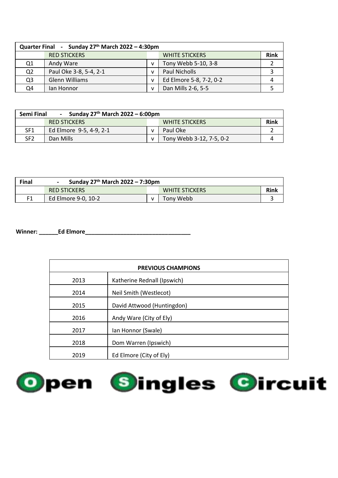| Quarter Final - Sunday 27th March 2022 - 4:30pm |                        |   |                         |             |
|-------------------------------------------------|------------------------|---|-------------------------|-------------|
| <b>RED STICKERS</b>                             |                        |   | <b>WHITE STICKERS</b>   | <b>Rink</b> |
| Q1                                              | Andy Ware              |   | Tony Webb 5-10, 3-8     |             |
| Q <sub>2</sub>                                  | Paul Oke 3-8, 5-4, 2-1 | v | Paul Nicholls           |             |
| Q3                                              | Glenn Williams         | v | Ed Elmore 5-8, 7-2, 0-2 |             |
| Q4                                              | lan Honnor             |   | Dan Mills 2-6, 5-5      |             |

| Sunday $27^{th}$ March $2022 - 6:00$ pm<br>Semi Final |                         |              |                          |             |
|-------------------------------------------------------|-------------------------|--------------|--------------------------|-------------|
|                                                       | <b>RED STICKERS</b>     |              | <b>WHITE STICKERS</b>    | <b>Rink</b> |
| SF <sub>1</sub>                                       | Ed Elmore 9-5, 4-9, 2-1 | $\mathbf{v}$ | Paul Oke                 |             |
| SF <sub>2</sub>                                       | Dan Mills               | $\mathbf{v}$ | Tony Webb 3-12, 7-5, 0-2 |             |

| Final | Sunday $27th$ March 2022 - 7:30pm |  |                       |      |
|-------|-----------------------------------|--|-----------------------|------|
|       | <b>RED STICKERS</b>               |  | <b>WHITE STICKERS</b> | Rink |
|       | Ed Elmore 9-0, 10-2               |  | Tony Webb             |      |

**Winner: \_\_\_\_\_\_Ed Elmore\_\_\_\_\_\_\_\_\_\_\_\_\_\_\_\_\_\_\_\_\_\_\_\_\_\_\_\_\_\_\_\_\_**

| <b>PREVIOUS CHAMPIONS</b> |                             |  |
|---------------------------|-----------------------------|--|
| 2013                      | Katherine Rednall (Ipswich) |  |
| 2014                      | Neil Smith (Westlecot)      |  |
| 2015                      | David Attwood (Huntingdon)  |  |
| 2016                      | Andy Ware (City of Ely)     |  |
| 2017                      | Ian Honnor (Swale)          |  |
| 2018                      | Dom Warren (Ipswich)        |  |
| 2019                      | Ed Elmore (City of Ely)     |  |